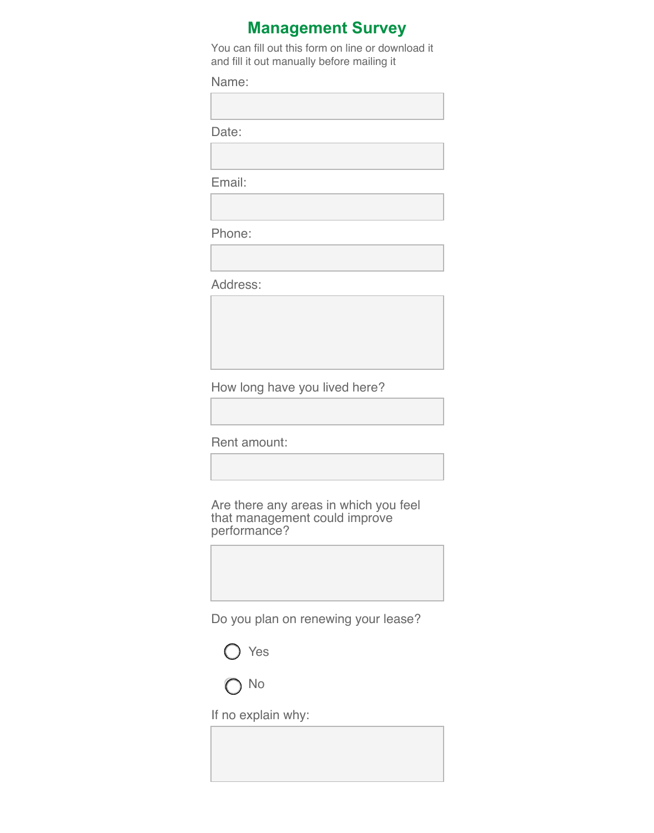## **Management Survey**

You can fill out this form on line or download it and fill it out manually before mailing it

|     | ın | п. |  |
|-----|----|----|--|
| . . |    |    |  |

Date:

Email:

Phone:

Address:

How long have you lived here?

Rent amount:

Are there any areas in which you feel that management could improve performance?

Do you plan on renewing your lease?



If no explain why: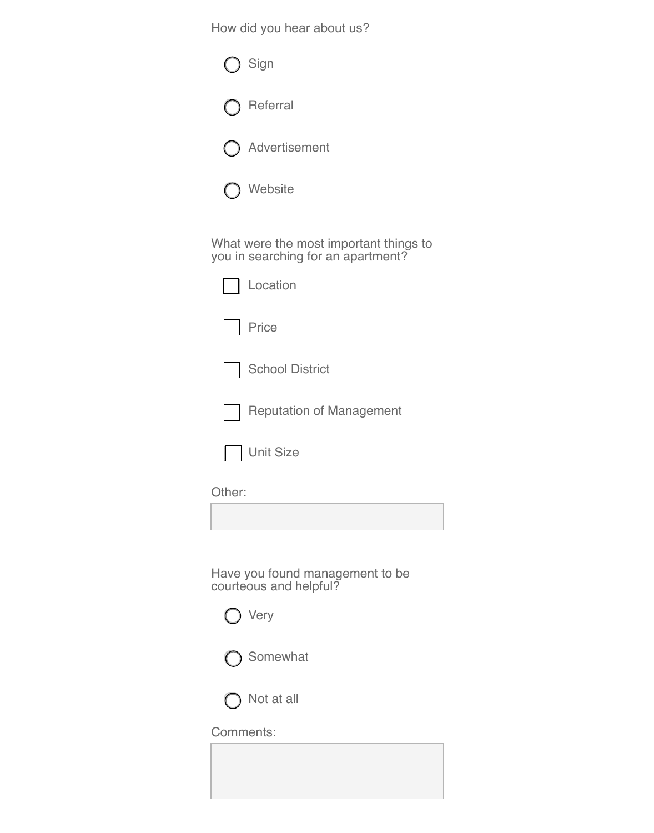How did you hear about us?

| Sign                                                                         |
|------------------------------------------------------------------------------|
| Referral                                                                     |
| Advertisement                                                                |
| Website                                                                      |
| What were the most important things to<br>you in searching for an apartment? |
| Location                                                                     |
| Price                                                                        |
| <b>School District</b>                                                       |
| <b>Reputation of Management</b>                                              |
| <b>Unit Size</b>                                                             |
| Other:                                                                       |
|                                                                              |
| Have you found management to be<br>courteous and helpful?                    |

|  | د،<br>7<br>Ξ |
|--|--------------|
|--|--------------|



 $\bigcirc$  Not at all

Comments: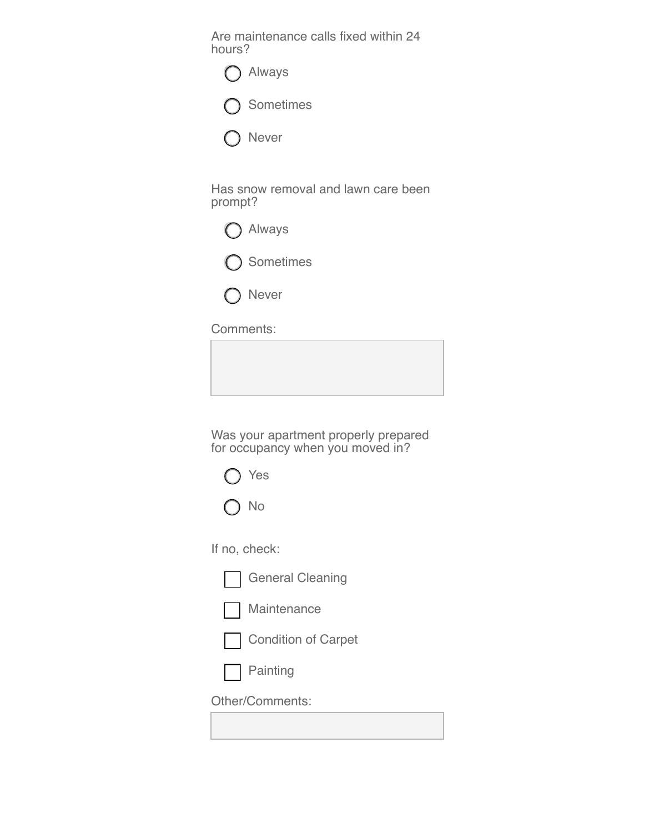Are maintenance calls fixed within 24 hours?

| ) Always  |
|-----------|
| Sometimes |

| $\subset$ | <b>Never</b> |
|-----------|--------------|
|-----------|--------------|

Has snow removal and lawn care been prompt?







Comments:

Was your apartment properly prepared for occupancy when you moved in?

|--|--|



If no, check:



General Cleaning







Other/Comments: